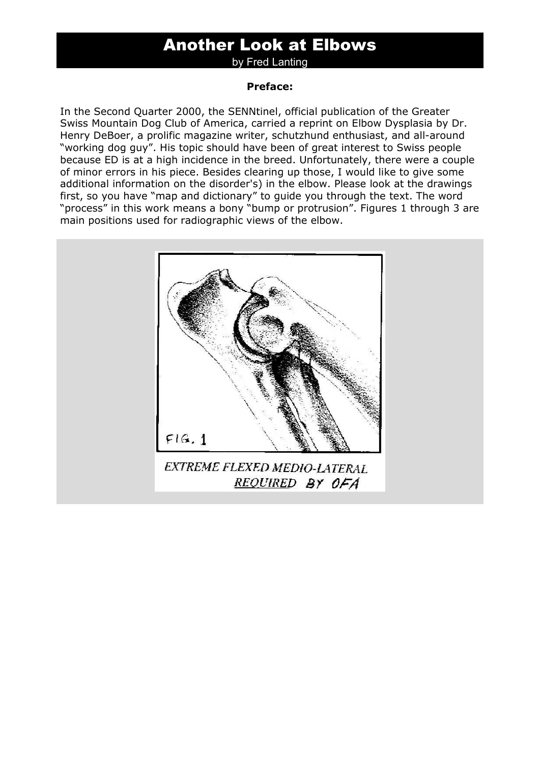# Another Look at Elbows

by Fred Lanting

#### **Preface:**

In the Second Quarter 2000, the SENNtinel, official publication of the Greater Swiss Mountain Dog Club of America, carried a reprint on Elbow Dysplasia by Dr. Henry DeBoer, a prolific magazine writer, schutzhund enthusiast, and all-around "working dog guy". His topic should have been of great interest to Swiss people because ED is at a high incidence in the breed. Unfortunately, there were a couple of minor errors in his piece. Besides clearing up those, I would like to give some additional information on the disorder's) in the elbow. Please look at the drawings first, so you have "map and dictionary" to guide you through the text. The word "process" in this work means a bony "bump or protrusion". Figures 1 through 3 are main positions used for radiographic views of the elbow.

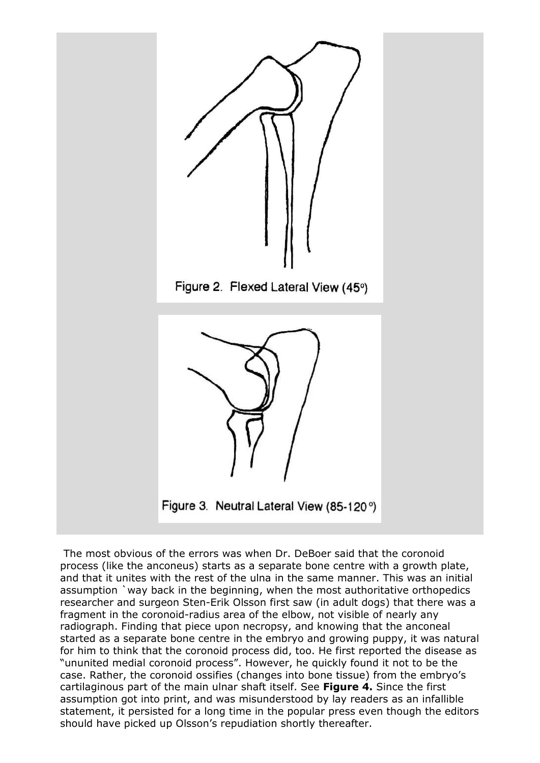

 The most obvious of the errors was when Dr. DeBoer said that the coronoid process (like the anconeus) starts as a separate bone centre with a growth plate, and that it unites with the rest of the ulna in the same manner. This was an initial assumption `way back in the beginning, when the most authoritative orthopedics researcher and surgeon Sten-Erik Olsson first saw (in adult dogs) that there was a fragment in the coronoid-radius area of the elbow, not visible of nearly any radiograph. Finding that piece upon necropsy, and knowing that the anconeal started as a separate bone centre in the embryo and growing puppy, it was natural for him to think that the coronoid process did, too. He first reported the disease as "ununited medial coronoid process". However, he quickly found it not to be the case. Rather, the coronoid ossifies (changes into bone tissue) from the embryo's cartilaginous part of the main ulnar shaft itself. See **Figure 4.** Since the first assumption got into print, and was misunderstood by lay readers as an infallible statement, it persisted for a long time in the popular press even though the editors should have picked up Olsson's repudiation shortly thereafter.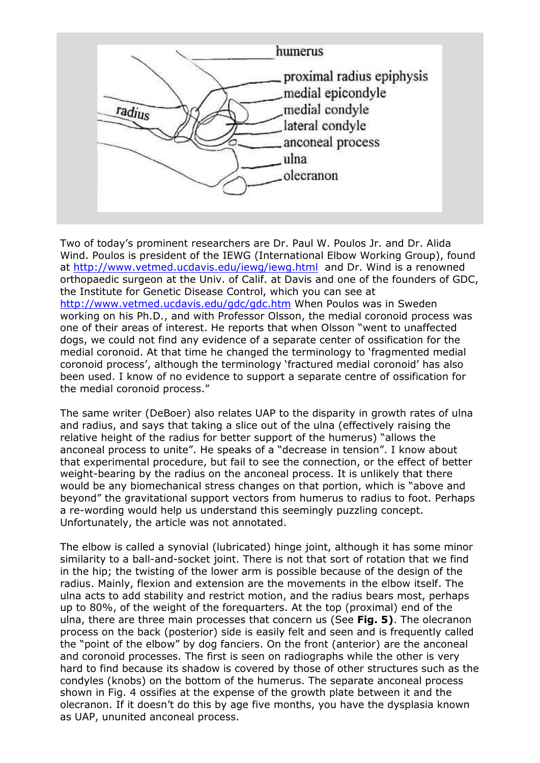

Two of today's prominent researchers are Dr. Paul W. Poulos Jr. and Dr. Alida Wind. Poulos is president of the IEWG (International Elbow Working Group), found at http://www.vetmed.ucdavis.edu/iewg/iewg.html and Dr. Wind is a renowned orthopaedic surgeon at the Univ. of Calif. at Davis and one of the founders of GDC, the Institute for Genetic Disease Control, which you can see at http://www.vetmed.ucdavis.edu/gdc/gdc.htm When Poulos was in Sweden working on his Ph.D., and with Professor Olsson, the medial coronoid process was one of their areas of interest. He reports that when Olsson "went to unaffected dogs, we could not find any evidence of a separate center of ossification for the medial coronoid. At that time he changed the terminology to 'fragmented medial coronoid process', although the terminology 'fractured medial coronoid' has also been used. I know of no evidence to support a separate centre of ossification for the medial coronoid process."

The same writer (DeBoer) also relates UAP to the disparity in growth rates of ulna and radius, and says that taking a slice out of the ulna (effectively raising the relative height of the radius for better support of the humerus) "allows the anconeal process to unite". He speaks of a "decrease in tension". I know about that experimental procedure, but fail to see the connection, or the effect of better weight-bearing by the radius on the anconeal process. It is unlikely that there would be any biomechanical stress changes on that portion, which is "above and beyond" the gravitational support vectors from humerus to radius to foot. Perhaps a re-wording would help us understand this seemingly puzzling concept. Unfortunately, the article was not annotated.

The elbow is called a synovial (lubricated) hinge joint, although it has some minor similarity to a ball-and-socket joint. There is not that sort of rotation that we find in the hip; the twisting of the lower arm is possible because of the design of the radius. Mainly, flexion and extension are the movements in the elbow itself. The ulna acts to add stability and restrict motion, and the radius bears most, perhaps up to 80%, of the weight of the forequarters. At the top (proximal) end of the ulna, there are three main processes that concern us (See **Fig. 5)**. The olecranon process on the back (posterior) side is easily felt and seen and is frequently called the "point of the elbow" by dog fanciers. On the front (anterior) are the anconeal and coronoid processes. The first is seen on radiographs while the other is very hard to find because its shadow is covered by those of other structures such as the condyles (knobs) on the bottom of the humerus. The separate anconeal process shown in Fig. 4 ossifies at the expense of the growth plate between it and the olecranon. If it doesn't do this by age five months, you have the dysplasia known as UAP, ununited anconeal process.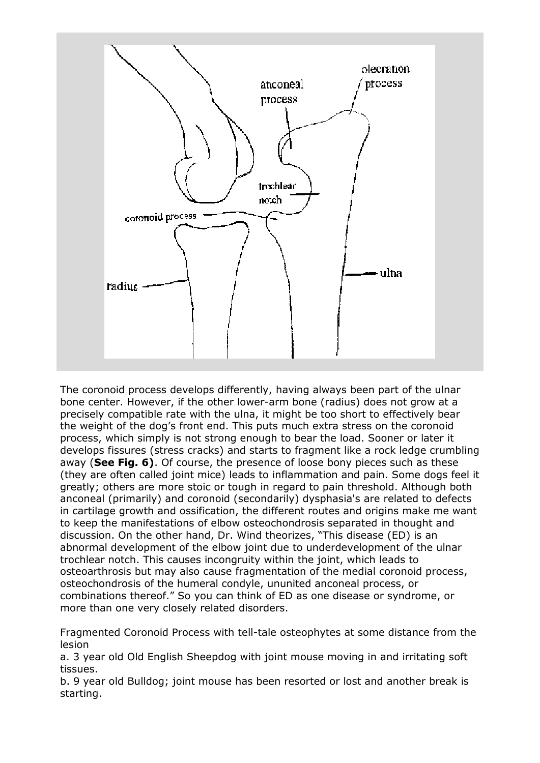

The coronoid process develops differently, having always been part of the ulnar bone center. However, if the other lower-arm bone (radius) does not grow at a precisely compatible rate with the ulna, it might be too short to effectively bear the weight of the dog's front end. This puts much extra stress on the coronoid process, which simply is not strong enough to bear the load. Sooner or later it develops fissures (stress cracks) and starts to fragment like a rock ledge crumbling away (**See Fig. 6)**. Of course, the presence of loose bony pieces such as these (they are often called joint mice) leads to inflammation and pain. Some dogs feel it greatly; others are more stoic or tough in regard to pain threshold. Although both anconeal (primarily) and coronoid (secondarily) dysphasia's are related to defects in cartilage growth and ossification, the different routes and origins make me want to keep the manifestations of elbow osteochondrosis separated in thought and discussion. On the other hand, Dr. Wind theorizes, "This disease (ED) is an abnormal development of the elbow joint due to underdevelopment of the ulnar trochlear notch. This causes incongruity within the joint, which leads to osteoarthrosis but may also cause fragmentation of the medial coronoid process, osteochondrosis of the humeral condyle, ununited anconeal process, or combinations thereof." So you can think of ED as one disease or syndrome, or more than one very closely related disorders.

Fragmented Coronoid Process with tell-tale osteophytes at some distance from the lesion

a. 3 year old Old English Sheepdog with joint mouse moving in and irritating soft tissues.

b. 9 year old Bulldog; joint mouse has been resorted or lost and another break is starting.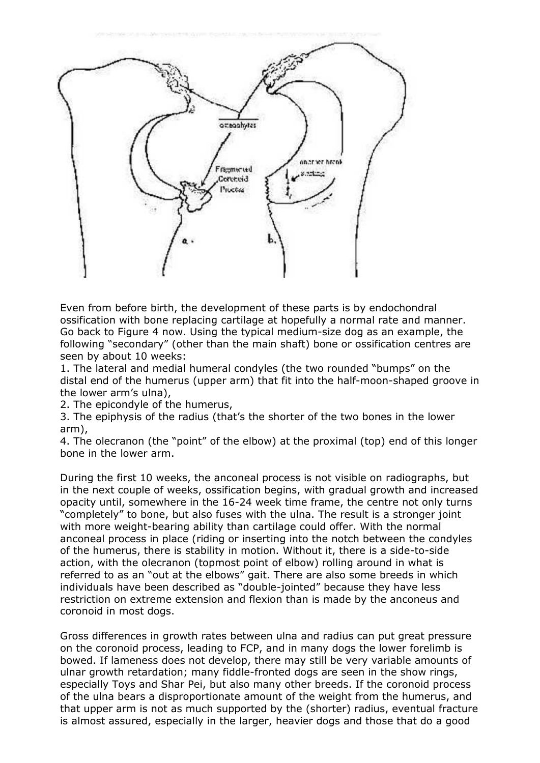

Even from before birth, the development of these parts is by endochondral ossification with bone replacing cartilage at hopefully a normal rate and manner. Go back to Figure 4 now. Using the typical medium-size dog as an example, the following "secondary" (other than the main shaft) bone or ossification centres are seen by about 10 weeks:

1. The lateral and medial humeral condyles (the two rounded "bumps" on the distal end of the humerus (upper arm) that fit into the half-moon-shaped groove in the lower arm's ulna),

2. The epicondyle of the humerus,

3. The epiphysis of the radius (that's the shorter of the two bones in the lower arm),

4. The olecranon (the "point" of the elbow) at the proximal (top) end of this longer bone in the lower arm.

During the first 10 weeks, the anconeal process is not visible on radiographs, but in the next couple of weeks, ossification begins, with gradual growth and increased opacity until, somewhere in the 16-24 week time frame, the centre not only turns "completely" to bone, but also fuses with the ulna. The result is a stronger joint with more weight-bearing ability than cartilage could offer. With the normal anconeal process in place (riding or inserting into the notch between the condyles of the humerus, there is stability in motion. Without it, there is a side-to-side action, with the olecranon (topmost point of elbow) rolling around in what is referred to as an "out at the elbows" gait. There are also some breeds in which individuals have been described as "double-jointed" because they have less restriction on extreme extension and flexion than is made by the anconeus and coronoid in most dogs.

Gross differences in growth rates between ulna and radius can put great pressure on the coronoid process, leading to FCP, and in many dogs the lower forelimb is bowed. If lameness does not develop, there may still be very variable amounts of ulnar growth retardation; many fiddle-fronted dogs are seen in the show rings, especially Toys and Shar Pei, but also many other breeds. If the coronoid process of the ulna bears a disproportionate amount of the weight from the humerus, and that upper arm is not as much supported by the (shorter) radius, eventual fracture is almost assured, especially in the larger, heavier dogs and those that do a good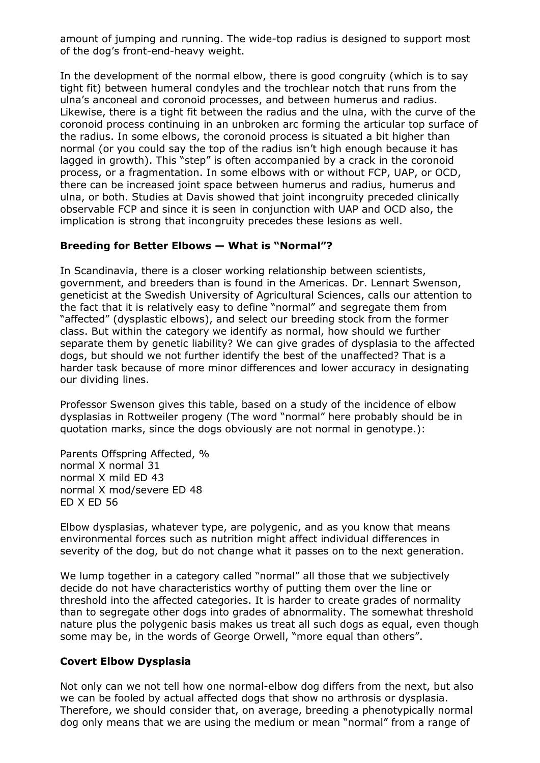amount of jumping and running. The wide-top radius is designed to support most of the dog's front-end-heavy weight.

In the development of the normal elbow, there is good congruity (which is to say tight fit) between humeral condyles and the trochlear notch that runs from the ulna's anconeal and coronoid processes, and between humerus and radius. Likewise, there is a tight fit between the radius and the ulna, with the curve of the coronoid process continuing in an unbroken arc forming the articular top surface of the radius. In some elbows, the coronoid process is situated a bit higher than normal (or you could say the top of the radius isn't high enough because it has lagged in growth). This "step" is often accompanied by a crack in the coronoid process, or a fragmentation. In some elbows with or without FCP, UAP, or OCD, there can be increased joint space between humerus and radius, humerus and ulna, or both. Studies at Davis showed that joint incongruity preceded clinically observable FCP and since it is seen in conjunction with UAP and OCD also, the implication is strong that incongruity precedes these lesions as well.

#### **Breeding for Better Elbows — What is "Normal"?**

In Scandinavia, there is a closer working relationship between scientists, government, and breeders than is found in the Americas. Dr. Lennart Swenson, geneticist at the Swedish University of Agricultural Sciences, calls our attention to the fact that it is relatively easy to define "normal" and segregate them from "affected" (dysplastic elbows), and select our breeding stock from the former class. But within the category we identify as normal, how should we further separate them by genetic liability? We can give grades of dysplasia to the affected dogs, but should we not further identify the best of the unaffected? That is a harder task because of more minor differences and lower accuracy in designating our dividing lines.

Professor Swenson gives this table, based on a study of the incidence of elbow dysplasias in Rottweiler progeny (The word "normal" here probably should be in quotation marks, since the dogs obviously are not normal in genotype.):

Parents Offspring Affected, % normal X normal 31 normal X mild ED 43 normal X mod/severe ED 48 ED X ED 56

Elbow dysplasias, whatever type, are polygenic, and as you know that means environmental forces such as nutrition might affect individual differences in severity of the dog, but do not change what it passes on to the next generation.

We lump together in a category called "normal" all those that we subjectively decide do not have characteristics worthy of putting them over the line or threshold into the affected categories. It is harder to create grades of normality than to segregate other dogs into grades of abnormality. The somewhat threshold nature plus the polygenic basis makes us treat all such dogs as equal, even though some may be, in the words of George Orwell, "more equal than others".

### **Covert Elbow Dysplasia**

Not only can we not tell how one normal-elbow dog differs from the next, but also we can be fooled by actual affected dogs that show no arthrosis or dysplasia. Therefore, we should consider that, on average, breeding a phenotypically normal dog only means that we are using the medium or mean "normal" from a range of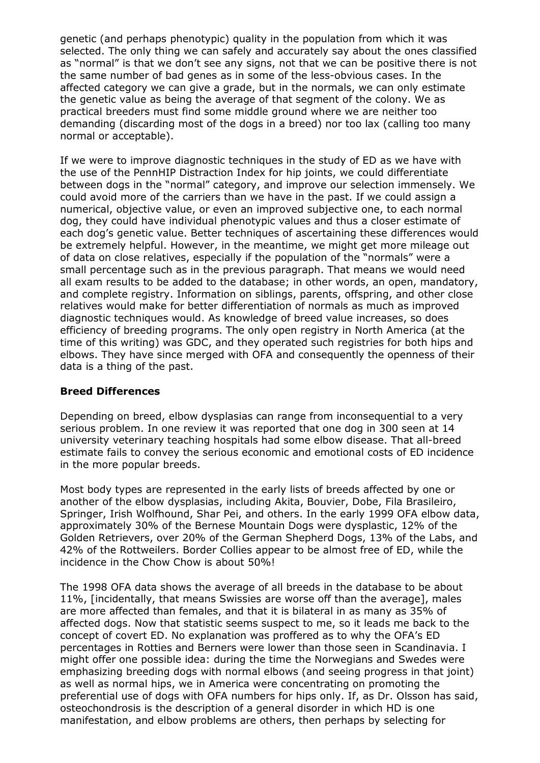genetic (and perhaps phenotypic) quality in the population from which it was selected. The only thing we can safely and accurately say about the ones classified as "normal" is that we don't see any signs, not that we can be positive there is not the same number of bad genes as in some of the less-obvious cases. In the affected category we can give a grade, but in the normals, we can only estimate the genetic value as being the average of that segment of the colony. We as practical breeders must find some middle ground where we are neither too demanding (discarding most of the dogs in a breed) nor too lax (calling too many normal or acceptable).

If we were to improve diagnostic techniques in the study of ED as we have with the use of the PennHIP Distraction Index for hip joints, we could differentiate between dogs in the "normal" category, and improve our selection immensely. We could avoid more of the carriers than we have in the past. If we could assign a numerical, objective value, or even an improved subjective one, to each normal dog, they could have individual phenotypic values and thus a closer estimate of each dog's genetic value. Better techniques of ascertaining these differences would be extremely helpful. However, in the meantime, we might get more mileage out of data on close relatives, especially if the population of the "normals" were a small percentage such as in the previous paragraph. That means we would need all exam results to be added to the database; in other words, an open, mandatory, and complete registry. Information on siblings, parents, offspring, and other close relatives would make for better differentiation of normals as much as improved diagnostic techniques would. As knowledge of breed value increases, so does efficiency of breeding programs. The only open registry in North America (at the time of this writing) was GDC, and they operated such registries for both hips and elbows. They have since merged with OFA and consequently the openness of their data is a thing of the past.

### **Breed Differences**

Depending on breed, elbow dysplasias can range from inconsequential to a very serious problem. In one review it was reported that one dog in 300 seen at 14 university veterinary teaching hospitals had some elbow disease. That all-breed estimate fails to convey the serious economic and emotional costs of ED incidence in the more popular breeds.

Most body types are represented in the early lists of breeds affected by one or another of the elbow dysplasias, including Akita, Bouvier, Dobe, Fila Brasileiro, Springer, Irish Wolfhound, Shar Pei, and others. In the early 1999 OFA elbow data, approximately 30% of the Bernese Mountain Dogs were dysplastic, 12% of the Golden Retrievers, over 20% of the German Shepherd Dogs, 13% of the Labs, and 42% of the Rottweilers. Border Collies appear to be almost free of ED, while the incidence in the Chow Chow is about 50%!

The 1998 OFA data shows the average of all breeds in the database to be about 11%, [incidentally, that means Swissies are worse off than the average], males are more affected than females, and that it is bilateral in as many as 35% of affected dogs. Now that statistic seems suspect to me, so it leads me back to the concept of covert ED. No explanation was proffered as to why the OFA's ED percentages in Rotties and Berners were lower than those seen in Scandinavia. I might offer one possible idea: during the time the Norwegians and Swedes were emphasizing breeding dogs with normal elbows (and seeing progress in that joint) as well as normal hips, we in America were concentrating on promoting the preferential use of dogs with OFA numbers for hips only. If, as Dr. Olsson has said, osteochondrosis is the description of a general disorder in which HD is one manifestation, and elbow problems are others, then perhaps by selecting for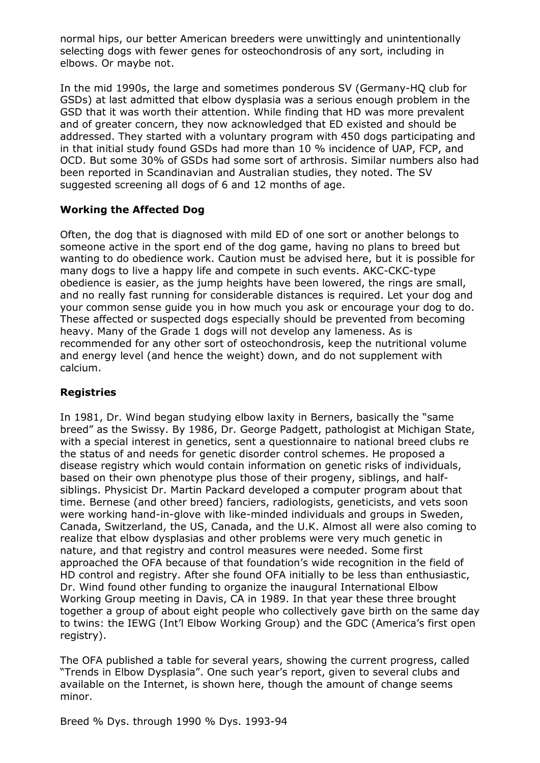normal hips, our better American breeders were unwittingly and unintentionally selecting dogs with fewer genes for osteochondrosis of any sort, including in elbows. Or maybe not.

In the mid 1990s, the large and sometimes ponderous SV (Germany-HQ club for GSDs) at last admitted that elbow dysplasia was a serious enough problem in the GSD that it was worth their attention. While finding that HD was more prevalent and of greater concern, they now acknowledged that ED existed and should be addressed. They started with a voluntary program with 450 dogs participating and in that initial study found GSDs had more than 10 % incidence of UAP, FCP, and OCD. But some 30% of GSDs had some sort of arthrosis. Similar numbers also had been reported in Scandinavian and Australian studies, they noted. The SV suggested screening all dogs of 6 and 12 months of age.

## **Working the Affected Dog**

Often, the dog that is diagnosed with mild ED of one sort or another belongs to someone active in the sport end of the dog game, having no plans to breed but wanting to do obedience work. Caution must be advised here, but it is possible for many dogs to live a happy life and compete in such events. AKC-CKC-type obedience is easier, as the jump heights have been lowered, the rings are small, and no really fast running for considerable distances is required. Let your dog and your common sense guide you in how much you ask or encourage your dog to do. These affected or suspected dogs especially should be prevented from becoming heavy. Many of the Grade 1 dogs will not develop any lameness. As is recommended for any other sort of osteochondrosis, keep the nutritional volume and energy level (and hence the weight) down, and do not supplement with calcium.

## **Registries**

In 1981, Dr. Wind began studying elbow laxity in Berners, basically the "same breed" as the Swissy. By 1986, Dr. George Padgett, pathologist at Michigan State, with a special interest in genetics, sent a questionnaire to national breed clubs re the status of and needs for genetic disorder control schemes. He proposed a disease registry which would contain information on genetic risks of individuals, based on their own phenotype plus those of their progeny, siblings, and halfsiblings. Physicist Dr. Martin Packard developed a computer program about that time. Bernese (and other breed) fanciers, radiologists, geneticists, and vets soon were working hand-in-glove with like-minded individuals and groups in Sweden, Canada, Switzerland, the US, Canada, and the U.K. Almost all were also coming to realize that elbow dysplasias and other problems were very much genetic in nature, and that registry and control measures were needed. Some first approached the OFA because of that foundation's wide recognition in the field of HD control and registry. After she found OFA initially to be less than enthusiastic, Dr. Wind found other funding to organize the inaugural International Elbow Working Group meeting in Davis, CA in 1989. In that year these three brought together a group of about eight people who collectively gave birth on the same day to twins: the IEWG (Int'l Elbow Working Group) and the GDC (America's first open registry).

The OFA published a table for several years, showing the current progress, called "Trends in Elbow Dysplasia". One such year's report, given to several clubs and available on the Internet, is shown here, though the amount of change seems minor.

Breed % Dys. through 1990 % Dys. 1993-94